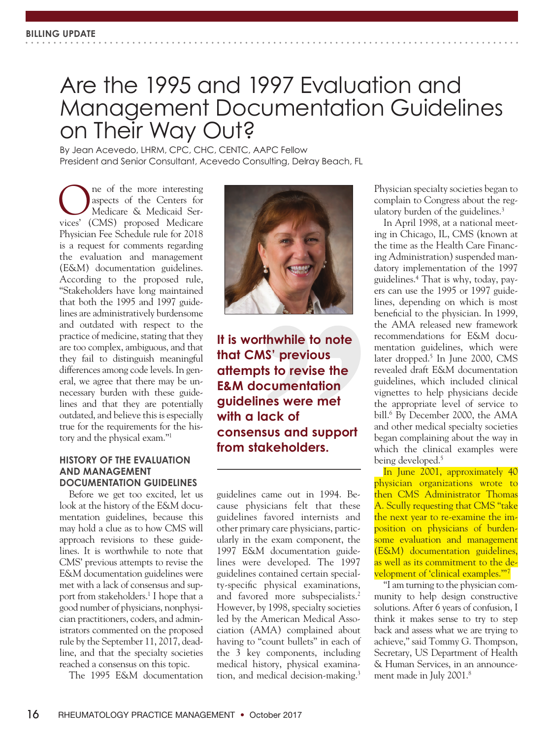# Are the 1995 and 1997 Evaluation and Management Documentation Guidelines on Their Way Out?

By Jean Acevedo, LHRM, CPC, CHC, CENTC, AAPC Fellow President and Senior Consultant, Acevedo Consulting, Delray Beach, FL

**ONES ONE OR AN AREL SERVICES**<br>
Medicare & Medicaid Services' (CMS) proposed Medicare aspects of the Centers for Medicare & Medicaid Services' (CMS) proposed Medicare Physician Fee Schedule rule for 2018 is a request for comments regarding the evaluation and management (E&M) documentation guidelines. According to the proposed rule, "Stakeholders have long maintained that both the 1995 and 1997 guidelines are administratively burdensome and outdated with respect to the practice of medicine, stating that they are too complex, ambiguous, and that they fail to distinguish meaningful differences among code levels. In general, we agree that there may be unnecessary burden with these guidelines and that they are potentially outdated, and believe this is especially true for the requirements for the history and the physical exam."1

## **HISTORY OF THE EVALUATION AND MANAGEMENT DOCUMENTATION GUIDELINES**

Before we get too excited, let us look at the history of the E&M documentation guidelines, because this may hold a clue as to how CMS will approach revisions to these guidelines. It is worthwhile to note that CMS' previous attempts to revise the E&M documentation guidelines were met with a lack of consensus and support from stakeholders.<sup>1</sup> I hope that a good number of physicians, nonphysician practitioners, coders, and administrators commented on the proposed rule by the September 11, 2017, deadline, and that the specialty societies reached a consensus on this topic.

The 1995 E&M documentation



**It is worthwhile to note that CMS' previous attempts to revise the E&M documentation guidelines were met with a lack of consensus and support from stakeholders.**

guidelines came out in 1994. Because physicians felt that these guidelines favored internists and other primary care physicians, particularly in the exam component, the 1997 E&M documentation guidelines were developed. The 1997 guidelines contained certain specialty-specific physical examinations, and favored more subspecialists.<sup>2</sup> However, by 1998, specialty societies led by the American Medical Association (AMA) complained about having to "count bullets" in each of the 3 key components, including medical history, physical examination, and medical decision-making.3 Physician specialty societies began to complain to Congress about the regulatory burden of the guidelines.<sup>3</sup>

In April 1998, at a national meeting in Chicago, IL, CMS (known at the time as the Health Care Financing Administration) suspended mandatory implementation of the 1997 guidelines.4 That is why, today, payers can use the 1995 or 1997 guidelines, depending on which is most beneficial to the physician. In 1999, the AMA released new framework recommendations for E&M documentation guidelines, which were later dropped.<sup>5</sup> In June 2000, CMS revealed draft E&M documentation guidelines, which included clinical vignettes to help physicians decide the appropriate level of service to bill.6 By December 2000, the AMA and other medical specialty societies began complaining about the way in which the clinical examples were being developed.<sup>5</sup>

In June 2001, approximately 40 physician organizations wrote to then CMS Administrator Thomas A. Scully requesting that CMS "take the next year to re-examine the imposition on physicians of burdensome evaluation and management (E&M) documentation guidelines, as well as its commitment to the development of 'clinical examples.'"7

"I am turning to the physician community to help design constructive solutions. After 6 years of confusion, I think it makes sense to try to step back and assess what we are trying to achieve," said Tommy G. Thompson, Secretary, US Department of Health & Human Services, in an announcement made in July 2001.8